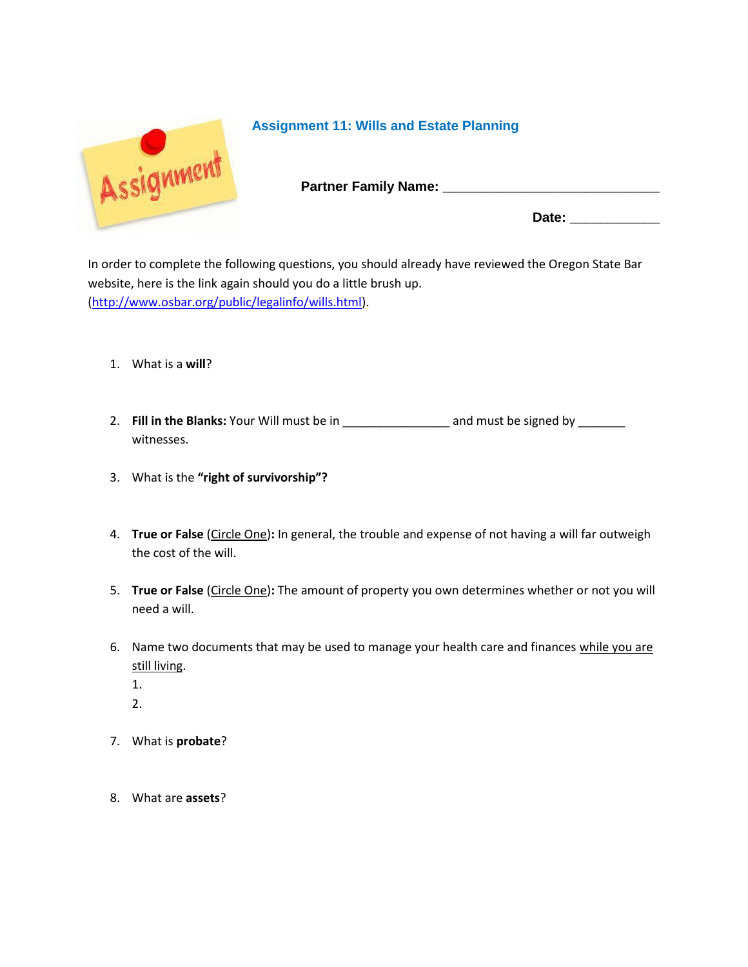

## **Assignment 11: Wills and Estate Planning**

**Partner Family Name: \_\_\_\_\_\_\_\_\_\_\_\_\_\_\_\_\_\_\_\_\_\_\_\_\_\_\_\_\_** 

Date:

In order to complete the following questions, you should already have reviewed the Oregon State Bar website, here is the link again should you do a little brush up. [\(http://www.osbar.org/public/legalinfo/wills.html\)](http://www.osbar.org/public/legalinfo/wills.html).

- 1. What is a **will**?
- 2. **Fill in the Blanks:** Your Will must be in \_\_\_\_\_\_\_\_\_\_\_\_\_\_\_\_ and must be signed by \_\_\_\_\_\_\_ witnesses.
- 3. What is the **"right of survivorship"?**
- 4. **True or False** (Circle One)**:** In general, the trouble and expense of not having a will far outweigh the cost of the will.
- 5. **True or False** (Circle One)**:** The amount of property you own determines whether or not you will need a will.
- 6. Name two documents that may be used to manage your health care and finances while you are still living.
	- 1.
	- 2.
- 7. What is **probate**?
- 8. What are **assets**?